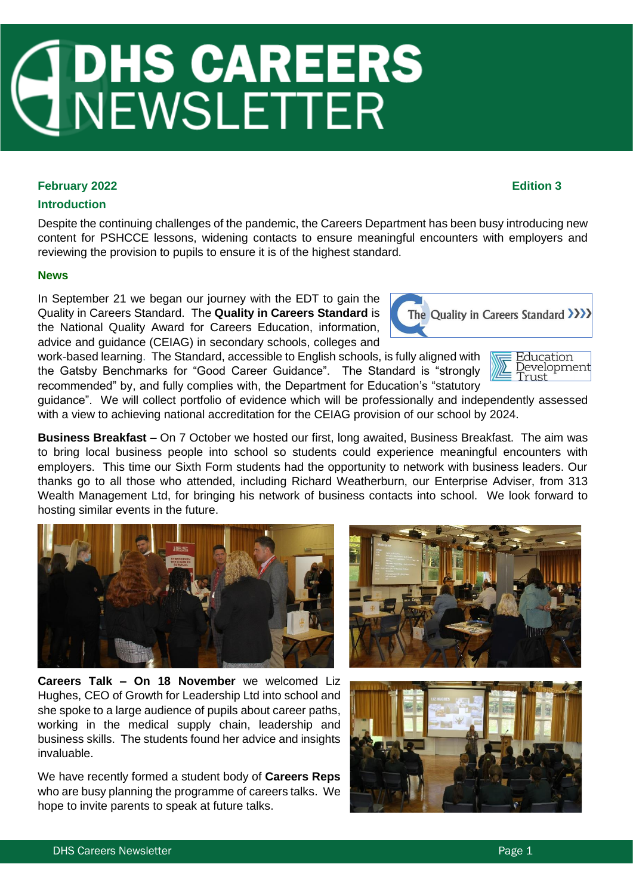# **JOHS CAREERS<br>JNEWSLETTER**

# **February 2022 Edition 3**

# **Introduction**

Despite the continuing challenges of the pandemic, the Careers Department has been busy introducing new content for PSHCCE lessons, widening contacts to ensure meaningful encounters with employers and reviewing the provision to pupils to ensure it is of the highest standard.

## **News**

In September 21 we began our journey with the EDT to gain the Quality in Careers Standard. The **Quality in Careers Standard** is the National Quality Award for Careers Education, information, advice and guidance (CEIAG) in secondary schools, colleges and

work-based learning. The Standard, accessible to English schools, is fully aligned with the Gatsby Benchmarks for "Good Career Guidance". The Standard is "strongly recommended" by, and fully complies with, the Department for Education's "statutory

guidance". We will collect portfolio of evidence which will be professionally and independently assessed with a view to achieving national accreditation for the CEIAG provision of our school by 2024.

**Business Breakfast –** On 7 October we hosted our first, long awaited, Business Breakfast. The aim was to bring local business people into school so students could experience meaningful encounters with employers. This time our Sixth Form students had the opportunity to network with business leaders. Our thanks go to all those who attended, including Richard Weatherburn, our Enterprise Adviser, from 313 Wealth Management Ltd, for bringing his network of business contacts into school. We look forward to hosting similar events in the future.

**Careers Talk – On 18 November** we welcomed Liz Hughes, CEO of Growth for Leadership Ltd into school and she spoke to a large audience of pupils about career paths, working in the medical supply chain, leadership and business skills. The students found her advice and insights invaluable.

We have recently formed a student body of **Careers Reps** who are busy planning the programme of careers talks. We hope to invite parents to speak at future talks.











Development

Trust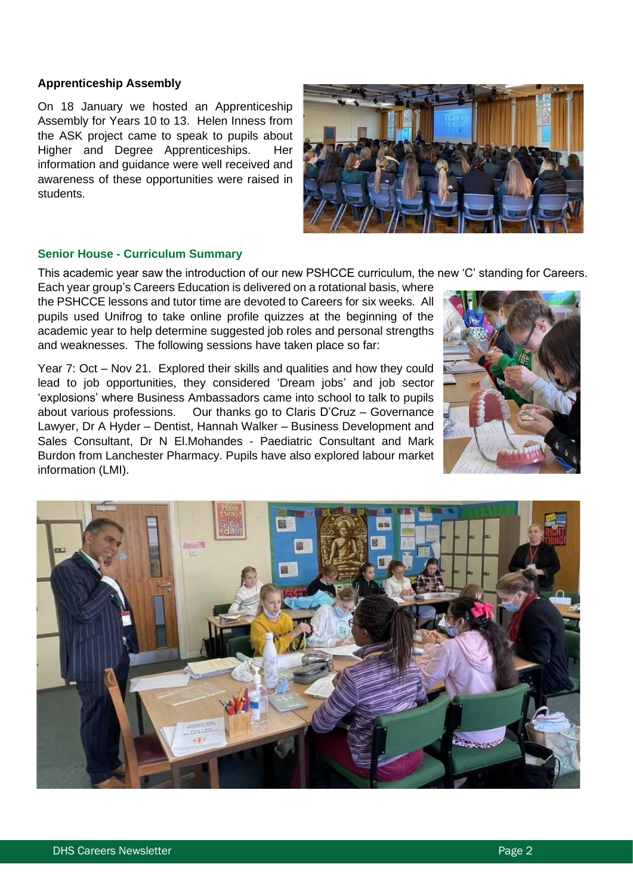## **Apprenticeship Assembly**

On 18 January we hosted an Apprenticeship Assembly for Years 10 to 13. Helen Inness from the ASK project came to speak to pupils about Higher and Degree Apprenticeships. Her information and guidance were well received and awareness of these opportunities were raised in students.



## **Senior House - Curriculum Summary**

This academic year saw the introduction of our new PSHCCE curriculum, the new 'C' standing for Careers.

Each year group's Careers Education is delivered on a rotational basis, where the PSHCCE lessons and tutor time are devoted to Careers for six weeks. All pupils used Unifrog to take online profile quizzes at the beginning of the academic year to help determine suggested job roles and personal strengths and weaknesses. The following sessions have taken place so far:

Year 7: Oct – Nov 21. Explored their skills and qualities and how they could lead to job opportunities, they considered 'Dream jobs' and job sector 'explosions' where Business Ambassadors came into school to talk to pupils about various professions. Our thanks go to Claris D'Cruz – Governance Lawyer, Dr A Hyder – Dentist, Hannah Walker – Business Development and Sales Consultant, Dr N El.Mohandes - Paediatric Consultant and Mark Burdon from Lanchester Pharmacy. Pupils have also explored labour market information (LMI).



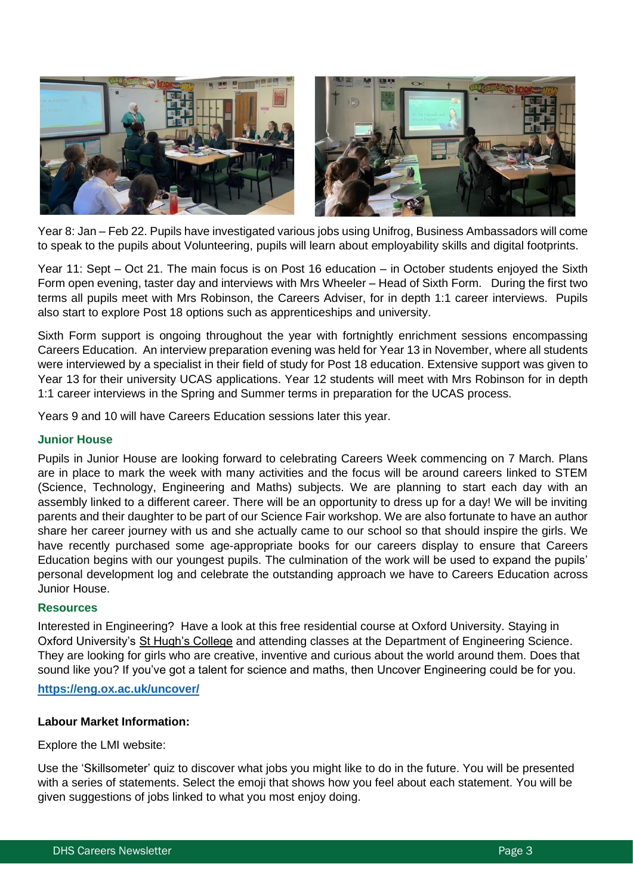![](_page_2_Picture_0.jpeg)

Year 8: Jan – Feb 22. Pupils have investigated various jobs using Unifrog, Business Ambassadors will come to speak to the pupils about Volunteering, pupils will learn about employability skills and digital footprints.

Year 11: Sept – Oct 21. The main focus is on Post 16 education – in October students enjoyed the Sixth Form open evening, taster day and interviews with Mrs Wheeler – Head of Sixth Form. During the first two terms all pupils meet with Mrs Robinson, the Careers Adviser, for in depth 1:1 career interviews. Pupils also start to explore Post 18 options such as apprenticeships and university.

Sixth Form support is ongoing throughout the year with fortnightly enrichment sessions encompassing Careers Education. An interview preparation evening was held for Year 13 in November, where all students were interviewed by a specialist in their field of study for Post 18 education. Extensive support was given to Year 13 for their university UCAS applications. Year 12 students will meet with Mrs Robinson for in depth 1:1 career interviews in the Spring and Summer terms in preparation for the UCAS process.

Years 9 and 10 will have Careers Education sessions later this year.

## **Junior House**

Pupils in Junior House are looking forward to celebrating Careers Week commencing on 7 March. Plans are in place to mark the week with many activities and the focus will be around careers linked to STEM (Science, Technology, Engineering and Maths) subjects. We are planning to start each day with an assembly linked to a different career. There will be an opportunity to dress up for a day! We will be inviting parents and their daughter to be part of our Science Fair workshop. We are also fortunate to have an author share her career journey with us and she actually came to our school so that should inspire the girls. We have recently purchased some age-appropriate books for our careers display to ensure that Careers Education begins with our youngest pupils. The culmination of the work will be used to expand the pupils' personal development log and celebrate the outstanding approach we have to Careers Education across Junior House.

#### **Resources**

Interested in Engineering? Have a look at this free residential course at Oxford University. Staying in Oxford University's [St Hugh's College](https://www.st-hughs.ox.ac.uk/) and attending classes at the Department of Engineering Science. They are looking for girls who are creative, inventive and curious about the world around them. Does that sound like you? If you've got a talent for science and maths, then Uncover Engineering could be for you.

#### **<https://eng.ox.ac.uk/uncover/>**

#### **Labour Market Information:**

#### Explore the LMI website:

Use the 'Skillsometer' quiz to discover what jobs you might like to do in the future. You will be presented with a series of statements. Select the emoji that shows how you feel about each statement. You will be given suggestions of jobs linked to what you most enjoy doing.